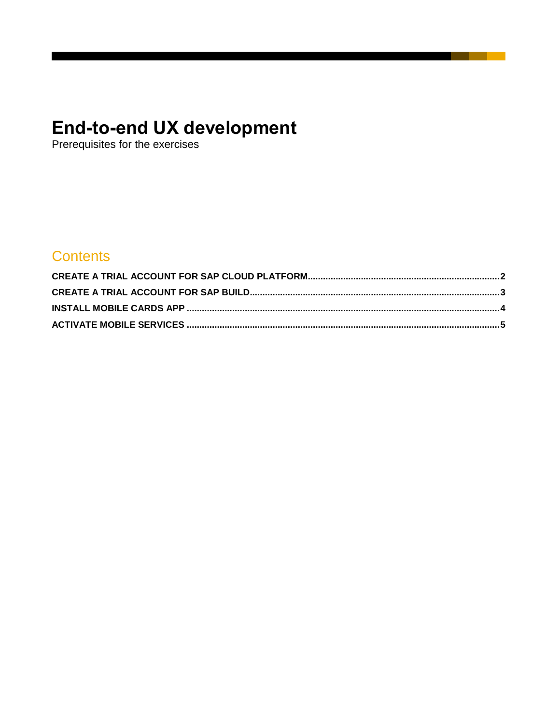# **End-to-end UX development**<br>Prerequisites for the exercises

## **Contents**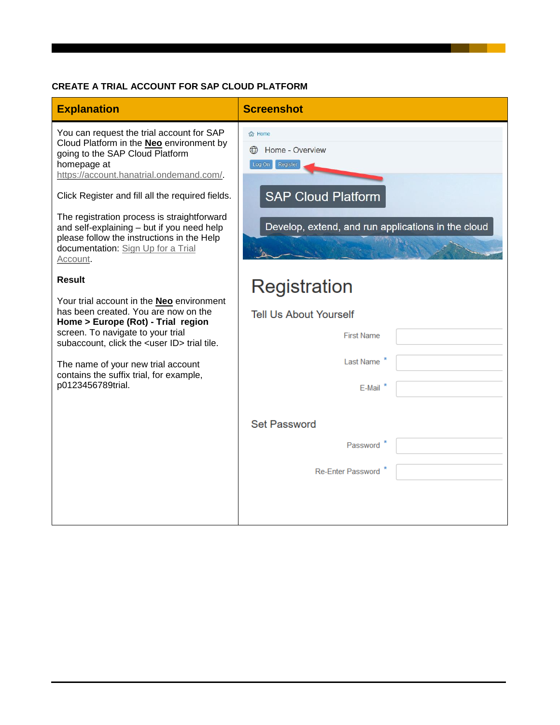#### <span id="page-1-0"></span>**CREATE A TRIAL ACCOUNT FOR SAP CLOUD PLATFORM**

| <b>Explanation</b>                                                                                                                                                                                                                                                                                                                                                                                                                                           | <b>Screenshot</b>                                                                                                                                 |
|--------------------------------------------------------------------------------------------------------------------------------------------------------------------------------------------------------------------------------------------------------------------------------------------------------------------------------------------------------------------------------------------------------------------------------------------------------------|---------------------------------------------------------------------------------------------------------------------------------------------------|
| You can request the trial account for SAP<br>Cloud Platform in the <b>Neo</b> environment by<br>going to the SAP Cloud Platform<br>homepage at<br>https://account.hanatrial.ondemand.com/.<br>Click Register and fill all the required fields.<br>The registration process is straightforward<br>and self-explaining - but if you need help<br>please follow the instructions in the Help<br>documentation: Sign Up for a Trial<br>Account.<br><b>Result</b> | 合 Home<br>Home - Overview<br>$\bigoplus$<br>Register<br>Log On<br><b>SAP Cloud Platform</b><br>Develop, extend, and run applications in the cloud |
| Your trial account in the <b>Neo</b> environment<br>has been created. You are now on the<br>Home > Europe (Rot) - Trial region<br>screen. To navigate to your trial<br>subaccount, click the <user id=""> trial tile.<br/>The name of your new trial account<br/>contains the suffix trial, for example,<br/>p0123456789trial.</user>                                                                                                                        | Registration                                                                                                                                      |
|                                                                                                                                                                                                                                                                                                                                                                                                                                                              | <b>Tell Us About Yourself</b>                                                                                                                     |
|                                                                                                                                                                                                                                                                                                                                                                                                                                                              | <b>First Name</b>                                                                                                                                 |
|                                                                                                                                                                                                                                                                                                                                                                                                                                                              | Last Name <sup>7</sup>                                                                                                                            |
|                                                                                                                                                                                                                                                                                                                                                                                                                                                              | E-Mail                                                                                                                                            |
|                                                                                                                                                                                                                                                                                                                                                                                                                                                              |                                                                                                                                                   |
|                                                                                                                                                                                                                                                                                                                                                                                                                                                              | <b>Set Password</b>                                                                                                                               |
|                                                                                                                                                                                                                                                                                                                                                                                                                                                              | Password                                                                                                                                          |
|                                                                                                                                                                                                                                                                                                                                                                                                                                                              | Re-Enter Password                                                                                                                                 |
|                                                                                                                                                                                                                                                                                                                                                                                                                                                              |                                                                                                                                                   |
|                                                                                                                                                                                                                                                                                                                                                                                                                                                              |                                                                                                                                                   |

and the state of the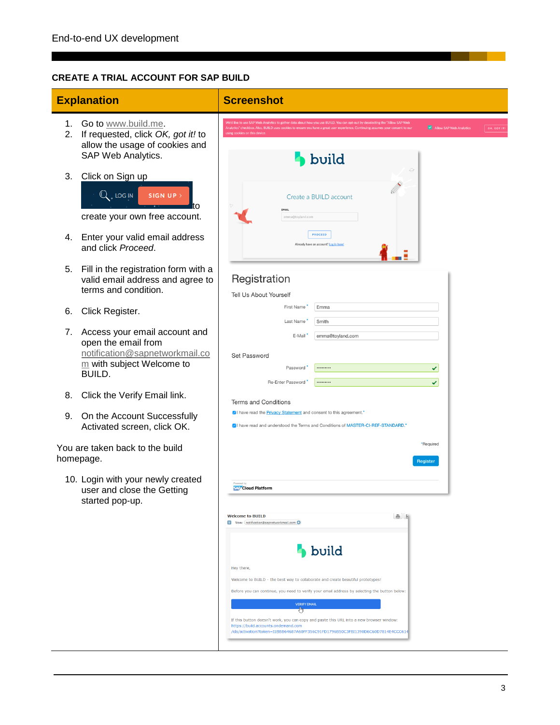#### <span id="page-2-0"></span>**CREATE A TRIAL ACCOUNT FOR SAP BUILD**

|          | <b>Explanation</b>                                                                                                                                                   | <b>Screenshot</b>                                                                                                                                                                                                                                                                                                                                                                                                                                                                                                                              |
|----------|----------------------------------------------------------------------------------------------------------------------------------------------------------------------|------------------------------------------------------------------------------------------------------------------------------------------------------------------------------------------------------------------------------------------------------------------------------------------------------------------------------------------------------------------------------------------------------------------------------------------------------------------------------------------------------------------------------------------------|
| 1.<br>2. | Go to www.build.me.<br>If requested, click OK, got it! to<br>allow the usage of cookies and<br>SAP Web Analytics.                                                    | tics to gather data about how you use BUILD. You can opt-out by deselecting the "<br>Allow SAP Web Analytics<br>OK, GOT IT<br>kies on this device<br>build                                                                                                                                                                                                                                                                                                                                                                                     |
| 3.<br>4. | Click on Sign up<br>Q LOG IN<br>SIGN UP ><br>create your own free account.<br>Enter your valid email address<br>and click Proceed.                                   | Create a BUILD account<br><b>FMAIL</b><br>emma@toyland.com<br><b>PROCEED</b><br>Already have an account? Log in here                                                                                                                                                                                                                                                                                                                                                                                                                           |
| 5.       | Fill in the registration form with a<br>valid email address and agree to<br>terms and condition.                                                                     | Registration<br>Tell Us About Yourself                                                                                                                                                                                                                                                                                                                                                                                                                                                                                                         |
| 6.       | Click Register.                                                                                                                                                      | First Name<br>Emma<br>Last Name<br>Smith                                                                                                                                                                                                                                                                                                                                                                                                                                                                                                       |
| 7.<br>8. | Access your email account and<br>open the email from<br>notification@sapnetworkmail.co<br>m with subject Welcome to<br><b>BUILD.</b><br>Click the Verify Email link. | E-Mail<br>emma@toyland.com<br>Set Password<br><br>Password<br>✓<br>Re-Enter Password<br><br>×.<br><b>Terms and Conditions</b><br>VI have read the <b>Privacy Statement</b> and consent to this agreement.*                                                                                                                                                                                                                                                                                                                                     |
| 9.       | On the Account Successfully<br>Activated screen, click OK.                                                                                                           | OI have read and understood the Terms and Conditions of MASTER-CI-REF-STANDARD.*                                                                                                                                                                                                                                                                                                                                                                                                                                                               |
|          | You are taken back to the build<br>homepage.                                                                                                                         | *Required<br><b>Register</b>                                                                                                                                                                                                                                                                                                                                                                                                                                                                                                                   |
|          | 10. Login with your newly created<br>user and close the Getting<br>started pop-up.                                                                                   | <b>SAP</b> Cloud Platform                                                                                                                                                                                                                                                                                                                                                                                                                                                                                                                      |
|          |                                                                                                                                                                      | <b>Welcome to BUILD</b><br>$-16$<br>Von: notification@sapnetworkmail.com O<br><b>build</b><br>Hey there,<br>Welcome to BUILD - the best way to collaborate and create beautiful prototypes!<br>Before you can continue, you need to verify your email address by selecting the button below:<br><b>VERIFY EMAIL</b><br>ਦਾ<br>If this button doesn't work, you can copy and paste this URL into a new browser window:<br>https://build.accounts.ondemand.com<br>/ids/activation?token=I1BBB64687A60FF356C91FD1796B50C3FBI1398D6C60D7814E4CCC61- |

**Contract Contract**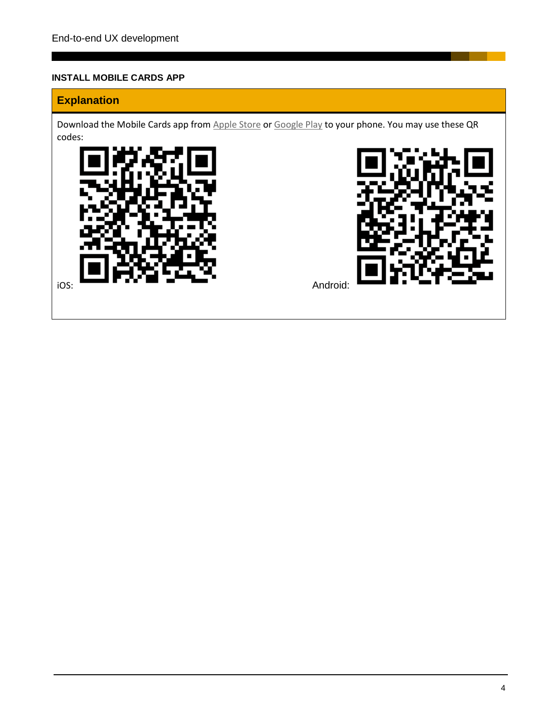#### <span id="page-3-0"></span>**INSTALL MOBILE CARDS APP**

### **Explanation**

Download the Mobile Cards app from [Apple Store](https://itunes.apple.com/us/app/sap-mobile-cards/id1168110623?mt=8) or [Google Play](https://play.google.com/store/apps/details?id=com.sap.content2go) to your phone. You may use these QR codes:



and the control